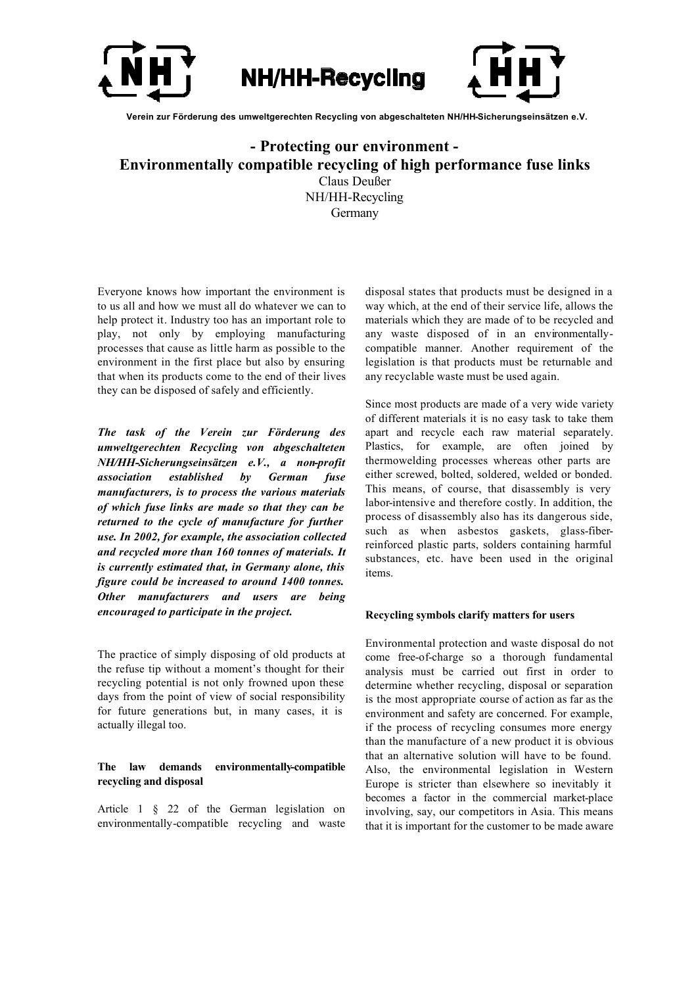

# **- Protecting our environment - Environmentally compatible recycling of high performance fuse links** Claus Deußer

NH/HH-Recycling Germany

Everyone knows how important the environment is to us all and how we must all do whatever we can to help protect it. Industry too has an important role to play, not only by employing manufacturing processes that cause as little harm as possible to the environment in the first place but also by ensuring that when its products come to the end of their lives they can be disposed of safely and efficiently.

*The task of the Verein zur Förderung des umweltgerechten Recycling von abgeschalteten NH/HH-Sicherungseinsätzen e.V., a non-profit association established by German fuse manufacturers, is to process the various materials of which fuse links are made so that they can be returned to the cycle of manufacture for further use. In 2002, for example, the association collected and recycled more than 160 tonnes of materials. It is currently estimated that, in Germany alone, this figure could be increased to around 1400 tonnes. Other manufacturers and users are being encouraged to participate in the project.* 

The practice of simply disposing of old products at the refuse tip without a moment's thought for their recycling potential is not only frowned upon these days from the point of view of social responsibility for future generations but, in many cases, it is actually illegal too.

## **The law demands environmentally-compatible recycling and disposal**

Article 1 § 22 of the German legislation on environmentally-compatible recycling and waste

disposal states that products must be designed in a way which, at the end of their service life, allows the materials which they are made of to be recycled and any waste disposed of in an environmentallycompatible manner. Another requirement of the legislation is that products must be returnable and any recyclable waste must be used again.

Since most products are made of a very wide variety of different materials it is no easy task to take them apart and recycle each raw material separately. Plastics, for example, are often joined by thermowelding processes whereas other parts are either screwed, bolted, soldered, welded or bonded. This means, of course, that disassembly is very labor-intensive and therefore costly. In addition, the process of disassembly also has its dangerous side, such as when asbestos gaskets, glass-fiberreinforced plastic parts, solders containing harmful substances, etc. have been used in the original items.

### **Recycling symbols clarify matters for users**

Environmental protection and waste disposal do not come free-of-charge so a thorough fundamental analysis must be carried out first in order to determine whether recycling, disposal or separation is the most appropriate course of action as far as the environment and safety are concerned. For example, if the process of recycling consumes more energy than the manufacture of a new product it is obvious that an alternative solution will have to be found. Also, the environmental legislation in Western Europe is stricter than elsewhere so inevitably it becomes a factor in the commercial market-place involving, say, our competitors in Asia. This means that it is important for the customer to be made aware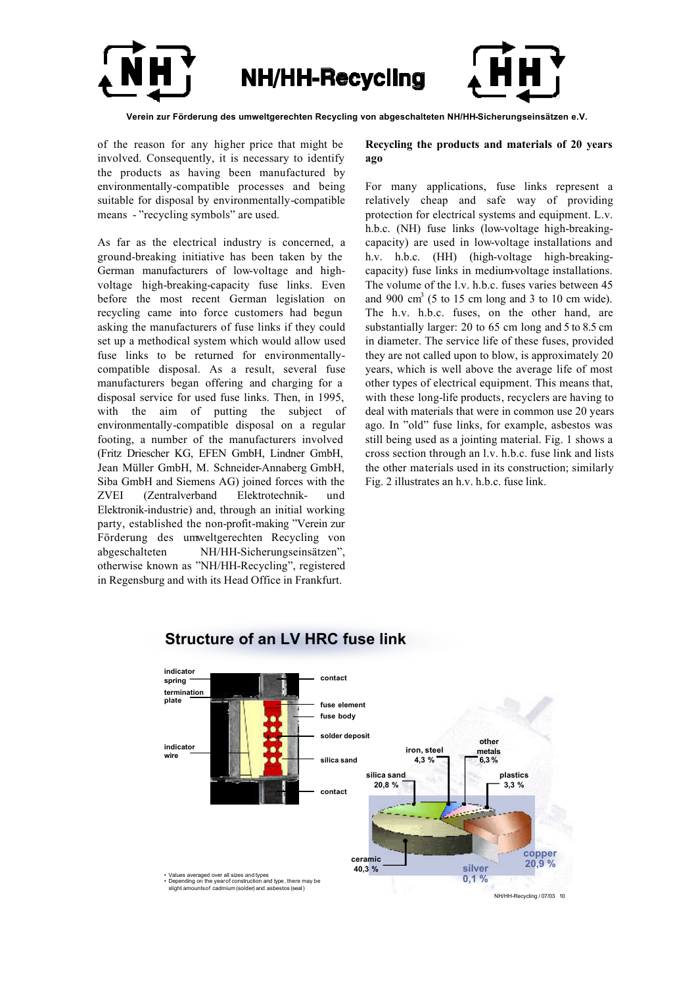

of the reason for any higher price that might be involved. Consequently, it is necessary to identify the products as having been manufactured by environmentally-compatible processes and being suitable for disposal by environmentally-compatible means - "recycling symbols" are used.

As far as the electrical industry is concerned, a ground-breaking initiative has been taken by the German manufacturers of low-voltage and highvoltage high-breaking-capacity fuse links. Even before the most recent German legislation on recycling came into force customers had begun asking the manufacturers of fuse links if they could set up a methodical system which would allow used fuse links to be returned for environmentallycompatible disposal. As a result, several fuse manufacturers began offering and charging for a disposal service for used fuse links. Then, in 1995, with the aim of putting the subject of environmentally-compatible disposal on a regular footing, a number of the manufacturers involved (Fritz Driescher KG, EFEN GmbH, Lindner GmbH, Jean Müller GmbH, M. Schneider-Annaberg GmbH, Siba GmbH and Siemens AG) joined forces with the ZVEI (Zentralverband Elektrotechnik-Elektronik-industrie) and, through an initial working party, established the non-profit-making "Verein zur Förderung des umweltgerechten Recycling von abgeschalteten NH/HH-Sicherungseinsätzen", otherwise known as "NH/HH-Recycling", registered in Regensburg and with its Head Office in Frankfurt.

## **Recycling the products and materials of 20 years ago**

For many applications, fuse links represent a relatively cheap and safe way of providing protection for electrical systems and equipment. L.v. h.b.c. (NH) fuse links (low-voltage high-breakingcapacity) are used in low-voltage installations and h.v. h.b.c. (HH) (high-voltage high-breakingcapacity) fuse links in medium-voltage installations. The volume of the l.v. h.b.c. fuses varies between 45 and  $900 \text{ cm}^3$  (5 to 15 cm long and 3 to 10 cm wide). The h.v. h.b.c. fuses, on the other hand, are substantially larger: 20 to 65 cm long and 5 to 8.5 cm in diameter. The service life of these fuses, provided they are not called upon to blow, is approximately 20 years, which is well above the average life of most other types of electrical equipment. This means that, with these long-life products, recyclers are having to deal with materials that were in common use 20 years ago. In "old" fuse links, for example, asbestos was still being used as a jointing material. Fig. 1 shows a cross section through an l.v. h.b.c. fuse link and lists the other materials used in its construction; similarly Fig. 2 illustrates an h.v. h.b.c. fuse link.



# **Structure of an LV HRC fuse link**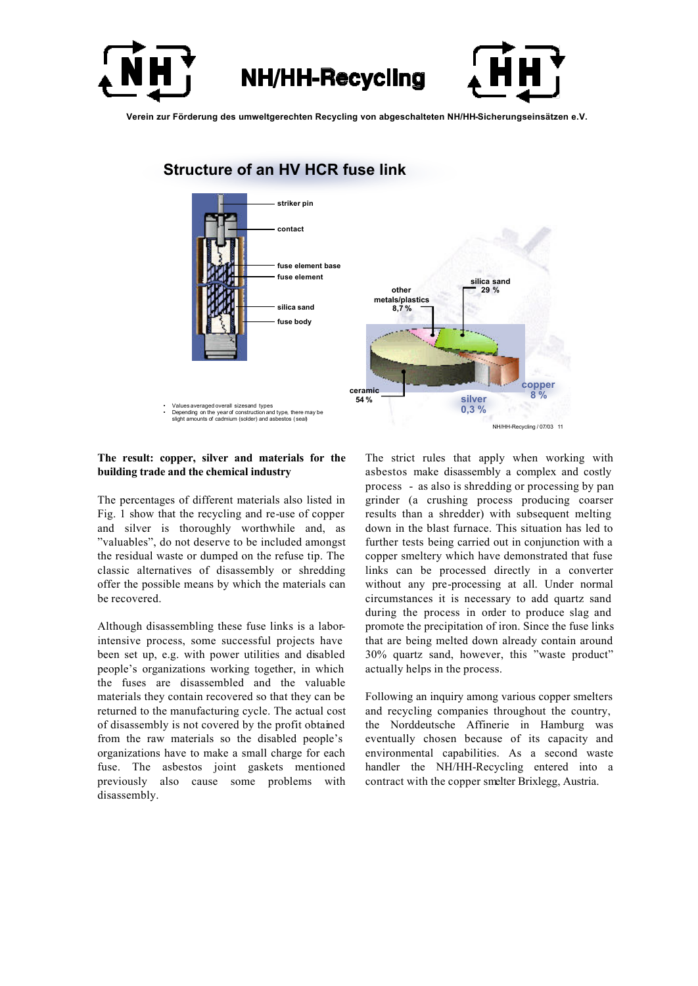



# **Structure of an HV HCR fuse link**

## **The result: copper, silver and materials for the building trade and the chemical industry**

The percentages of different materials also listed in Fig. 1 show that the recycling and re-use of copper and silver is thoroughly worthwhile and, as "valuables", do not deserve to be included amongst the residual waste or dumped on the refuse tip. The classic alternatives of disassembly or shredding offer the possible means by which the materials can be recovered.

Although disassembling these fuse links is a laborintensive process, some successful projects have been set up, e.g. with power utilities and disabled people's organizations working together, in which the fuses are disassembled and the valuable materials they contain recovered so that they can be returned to the manufacturing cycle. The actual cost of disassembly is not covered by the profit obtained from the raw materials so the disabled people's organizations have to make a small charge for each fuse. The asbestos joint gaskets mentioned previously also cause some problems with disassembly.

The strict rules that apply when working with asbestos make disassembly a complex and costly process - as also is shredding or processing by pan grinder (a crushing process producing coarser results than a shredder) with subsequent melting down in the blast furnace. This situation has led to further tests being carried out in conjunction with a copper smeltery which have demonstrated that fuse links can be processed directly in a converter without any pre-processing at all. Under normal circumstances it is necessary to add quartz sand during the process in order to produce slag and promote the precipitation of iron. Since the fuse links that are being melted down already contain around 30% quartz sand, however, this "waste product" actually helps in the process.

Following an inquiry among various copper smelters and recycling companies throughout the country, the Norddeutsche Affinerie in Hamburg was eventually chosen because of its capacity and environmental capabilities. As a second waste handler the NH/HH-Recycling entered into a contract with the copper smelter Brixlegg, Austria.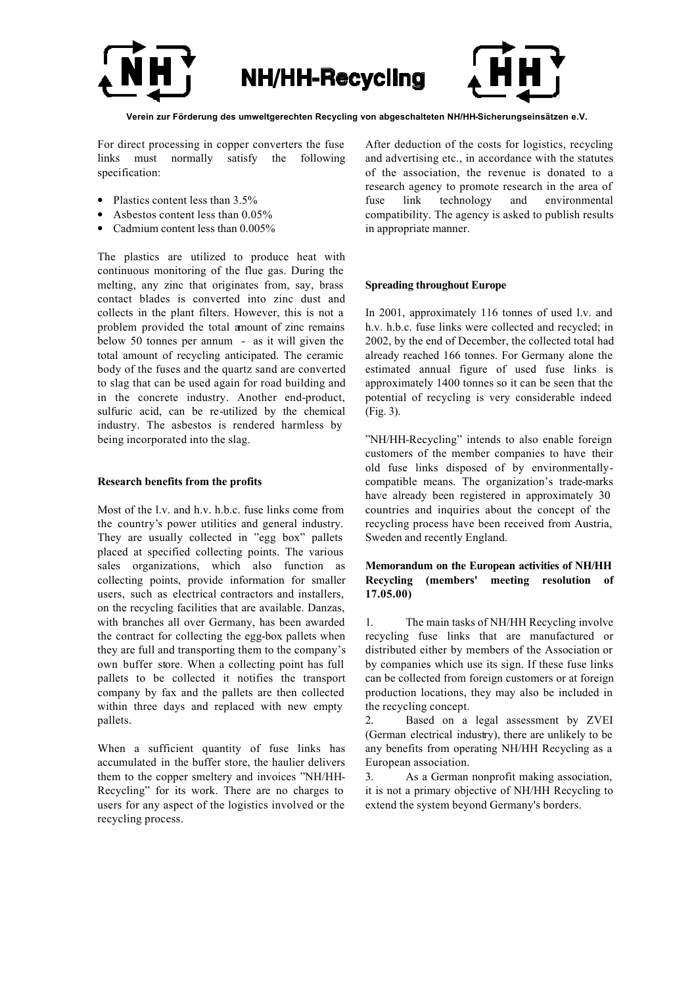

For direct processing in copper converters the fuse links must normally satisfy the following specification:

- Plastics content less than 3.5%
- Asbestos content less than 0.05%
- Cadmium content less than 0.005%

The plastics are utilized to produce heat with continuous monitoring of the flue gas. During the melting, any zinc that originates from, say, brass contact blades is converted into zinc dust and collects in the plant filters. However, this is not a problem provided the total amount of zinc remains below 50 tonnes per annum - as it will given the total amount of recycling anticipated. The ceramic body of the fuses and the quartz sand are converted to slag that can be used again for road building and in the concrete industry. Another end-product, sulfuric acid, can be re-utilized by the chemical industry. The asbestos is rendered harmless by being incorporated into the slag.

### **Research benefits from the profits**

Most of the l.v. and h.v. h.b.c. fuse links come from the country's power utilities and general industry. They are usually collected in "egg box" pallets placed at specified collecting points. The various sales organizations, which also function as collecting points, provide information for smaller users, such as electrical contractors and installers, on the recycling facilities that are available. Danzas, with branches all over Germany, has been awarded the contract for collecting the egg-box pallets when they are full and transporting them to the company's own buffer store. When a collecting point has full pallets to be collected it notifies the transport company by fax and the pallets are then collected within three days and replaced with new empty pallets.

When a sufficient quantity of fuse links has accumulated in the buffer store, the haulier delivers them to the copper smeltery and invoices "NH/HH-Recycling" for its work. There are no charges to users for any aspect of the logistics involved or the recycling process.

After deduction of the costs for logistics, recycling and advertising etc., in accordance with the statutes of the association, the revenue is donated to a research agency to promote research in the area of fuse link technology and environmental compatibility. The agency is asked to publish results in appropriate manner.

### **Spreading throughout Europe**

In 2001, approximately 116 tonnes of used l.v. and h.v. h.b.c. fuse links were collected and recycled; in 2002, by the end of December, the collected total had already reached 166 tonnes. For Germany alone the estimated annual figure of used fuse links is approximately 1400 tonnes so it can be seen that the potential of recycling is very considerable indeed (Fig. 3).

"NH/HH-Recycling" intends to also enable foreign customers of the member companies to have their old fuse links disposed of by environmentallycompatible means. The organization's trade-marks have already been registered in approximately 30 countries and inquiries about the concept of the recycling process have been received from Austria, Sweden and recently England.

## **Memorandum on the European activities of NH/HH Recycling (members' meeting resolution of 17.05.00)**

1. The main tasks of NH/HH Recycling involve recycling fuse links that are manufactured or distributed either by members of the Association or by companies which use its sign. If these fuse links can be collected from foreign customers or at foreign production locations, they may also be included in the recycling concept.

2. Based on a legal assessment by ZVEI (German electrical industry), there are unlikely to be any benefits from operating NH/HH Recycling as a European association.

3. As a German nonprofit making association, it is not a primary objective of NH/HH Recycling to extend the system beyond Germany's borders.